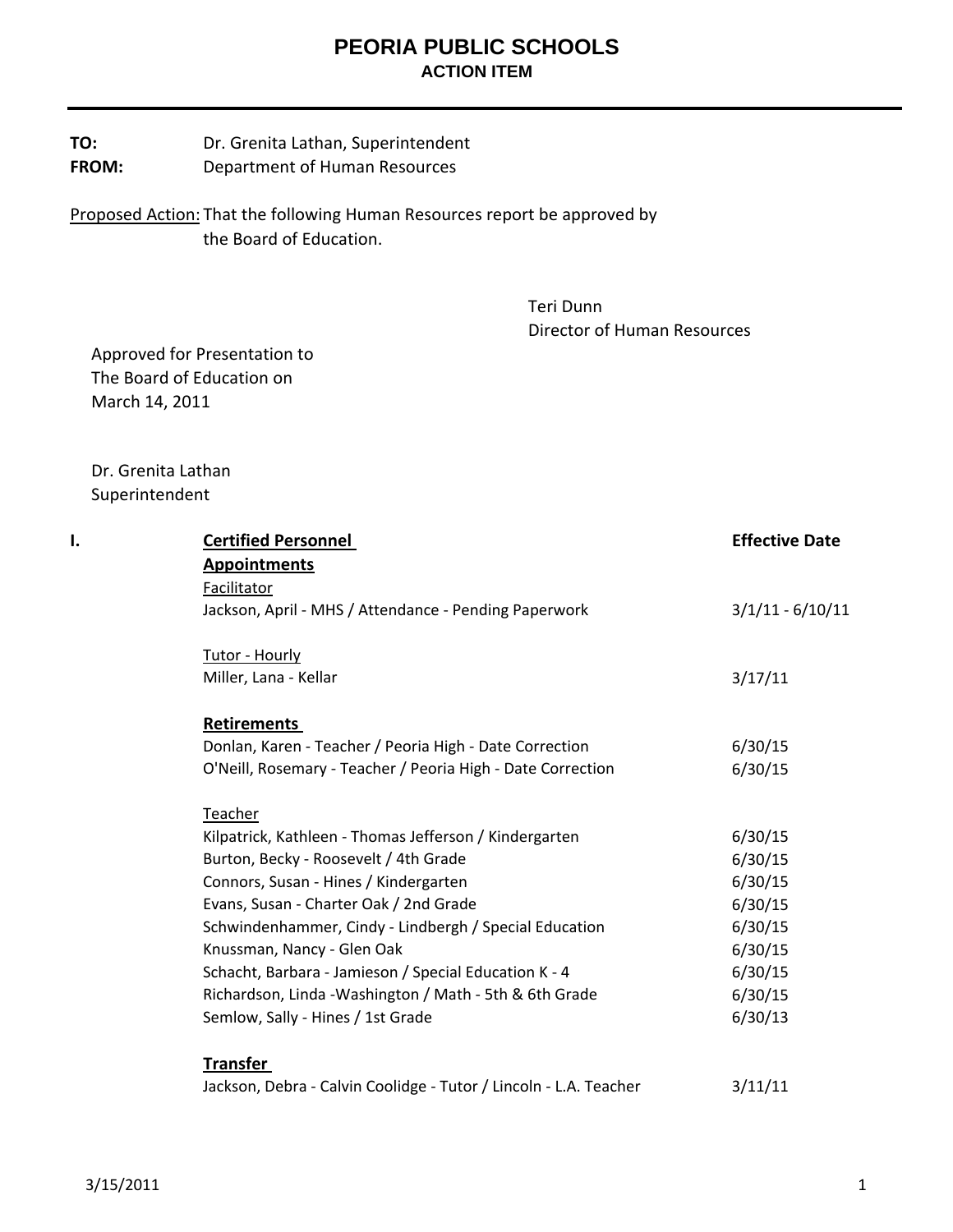## **PEORIA PUBLIC SCHOOLS ACTION ITEM**

**TO:** Dr. Grenita Lathan, Superintendent **FROM:** Department of Human Resources

Proposed Action: That the following Human Resources report be approved by the Board of Education.

> Teri Dunn Director of Human Resources

 Approved for Presentation to The Board of Education on March 14, 2011

 Dr. Grenita Lathan Superintendent

| I. | <b>Certified Personnel</b>                                        | <b>Effective Date</b> |
|----|-------------------------------------------------------------------|-----------------------|
|    | <b>Appointments</b>                                               |                       |
|    | Facilitator                                                       |                       |
|    | Jackson, April - MHS / Attendance - Pending Paperwork             | $3/1/11 - 6/10/11$    |
|    | Tutor - Hourly                                                    |                       |
|    | Miller, Lana - Kellar                                             | 3/17/11               |
|    | <b>Retirements</b>                                                |                       |
|    | Donlan, Karen - Teacher / Peoria High - Date Correction           | 6/30/15               |
|    | O'Neill, Rosemary - Teacher / Peoria High - Date Correction       | 6/30/15               |
|    | Teacher                                                           |                       |
|    | Kilpatrick, Kathleen - Thomas Jefferson / Kindergarten            | 6/30/15               |
|    | Burton, Becky - Roosevelt / 4th Grade                             | 6/30/15               |
|    | Connors, Susan - Hines / Kindergarten                             | 6/30/15               |
|    | Evans, Susan - Charter Oak / 2nd Grade                            | 6/30/15               |
|    | Schwindenhammer, Cindy - Lindbergh / Special Education            | 6/30/15               |
|    | Knussman, Nancy - Glen Oak                                        | 6/30/15               |
|    | Schacht, Barbara - Jamieson / Special Education K - 4             | 6/30/15               |
|    | Richardson, Linda - Washington / Math - 5th & 6th Grade           | 6/30/15               |
|    | Semlow, Sally - Hines / 1st Grade                                 | 6/30/13               |
|    | <b>Transfer</b>                                                   |                       |
|    | Jackson, Debra - Calvin Coolidge - Tutor / Lincoln - L.A. Teacher | 3/11/11               |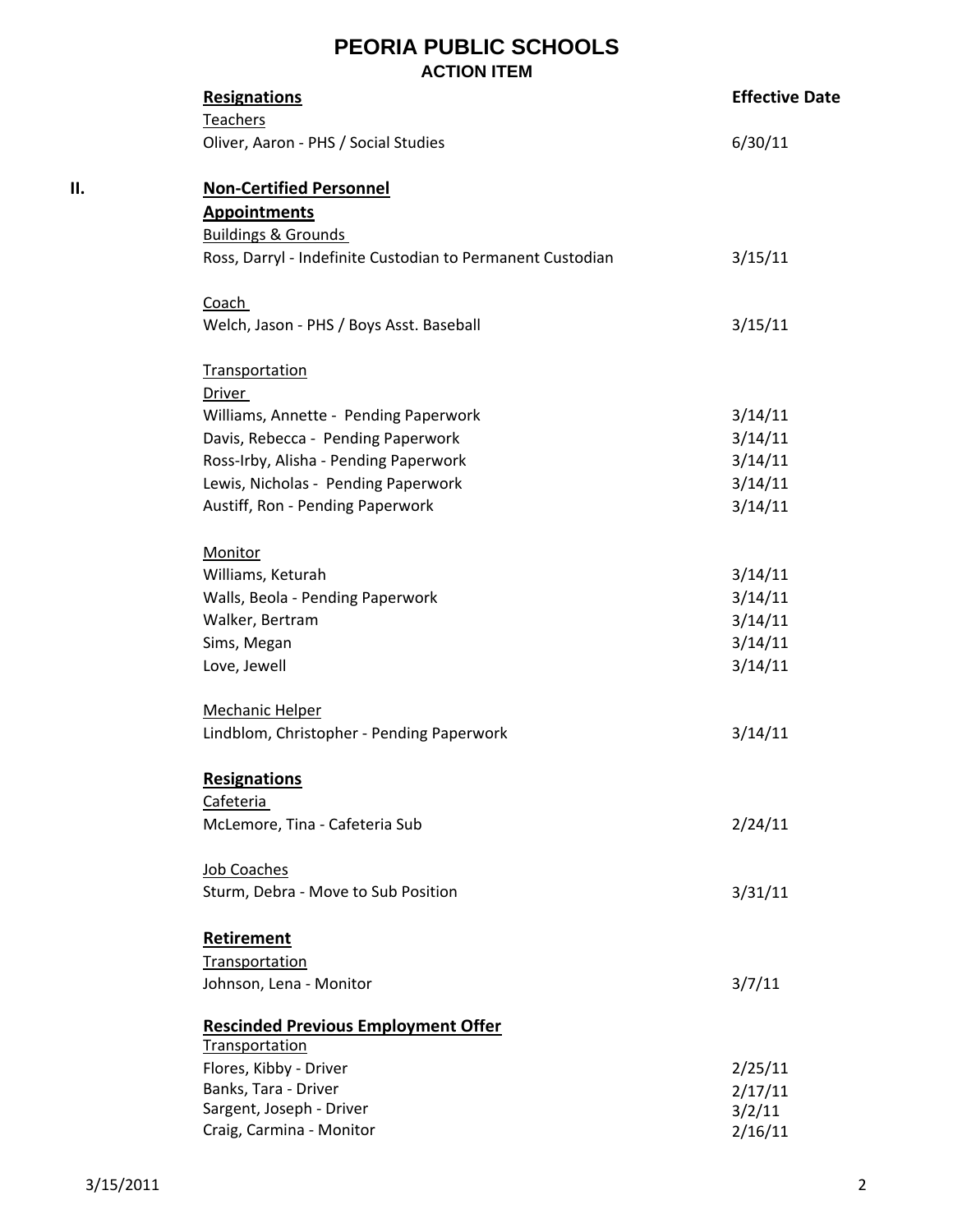## **PEORIA PUBLIC SCHOOLS ACTION ITEM**

|    | <b>Resignations</b>                                        | <b>Effective Date</b> |
|----|------------------------------------------------------------|-----------------------|
|    | <b>Teachers</b><br>Oliver, Aaron - PHS / Social Studies    | 6/30/11               |
| П. | <b>Non-Certified Personnel</b>                             |                       |
|    | <b>Appointments</b>                                        |                       |
|    | <b>Buildings &amp; Grounds</b>                             |                       |
|    | Ross, Darryl - Indefinite Custodian to Permanent Custodian | 3/15/11               |
|    | Coach                                                      |                       |
|    | Welch, Jason - PHS / Boys Asst. Baseball                   | 3/15/11               |
|    | <b>Transportation</b>                                      |                       |
|    | Driver                                                     |                       |
|    | Williams, Annette - Pending Paperwork                      | 3/14/11               |
|    | Davis, Rebecca - Pending Paperwork                         | 3/14/11               |
|    | Ross-Irby, Alisha - Pending Paperwork                      | 3/14/11               |
|    | Lewis, Nicholas - Pending Paperwork                        | 3/14/11               |
|    | Austiff, Ron - Pending Paperwork                           | 3/14/11               |
|    | Monitor                                                    |                       |
|    | Williams, Keturah                                          | 3/14/11               |
|    | Walls, Beola - Pending Paperwork                           | 3/14/11               |
|    | Walker, Bertram                                            | 3/14/11               |
|    | Sims, Megan                                                | 3/14/11               |
|    | Love, Jewell                                               | 3/14/11               |
|    | <b>Mechanic Helper</b>                                     |                       |
|    | Lindblom, Christopher - Pending Paperwork                  | 3/14/11               |
|    | <b>Resignations</b>                                        |                       |
|    | Cafeteria                                                  |                       |
|    | McLemore, Tina - Cafeteria Sub                             | 2/24/11               |
|    | <b>Job Coaches</b>                                         |                       |
|    | Sturm, Debra - Move to Sub Position                        | 3/31/11               |
|    | Retirement                                                 |                       |
|    | Transportation                                             |                       |
|    | Johnson, Lena - Monitor                                    | 3/7/11                |
|    | <b>Rescinded Previous Employment Offer</b>                 |                       |
|    | <b>Transportation</b><br>Flores, Kibby - Driver            | 2/25/11               |
|    | Banks, Tara - Driver                                       | 2/17/11               |
|    | Sargent, Joseph - Driver                                   | 3/2/11                |
|    | Craig, Carmina - Monitor                                   | 2/16/11               |